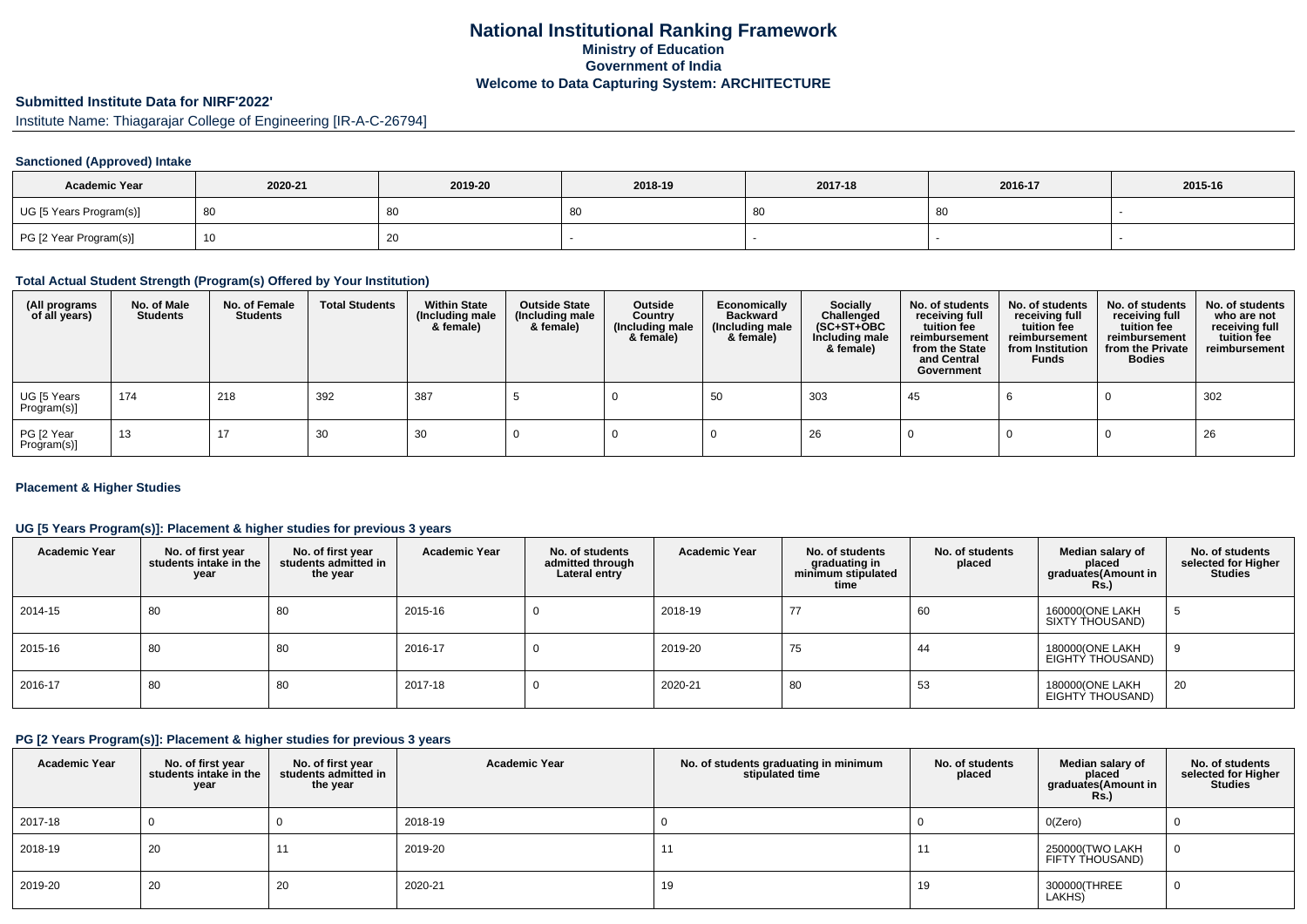# **National Institutional Ranking FrameworkMinistry of Education Government of IndiaWelcome to Data Capturing System: ARCHITECTURE**

# **Submitted Institute Data for NIRF'2022'**

Institute Name: Thiagarajar College of Engineering [IR-A-C-26794]

#### **Sanctioned (Approved) Intake**

| <b>Academic Year</b>    | 2020-21 | 2019-20 | 2018-19 | 2017-18 |    | 2015-16 |
|-------------------------|---------|---------|---------|---------|----|---------|
| UG [5 Years Program(s)] |         | 80      |         |         | 80 |         |
| PG [2 Year Program(s)]  |         | 20      |         |         |    |         |

## **Total Actual Student Strength (Program(s) Offered by Your Institution)**

| (All programs<br>of all years) | No. of Male<br><b>Students</b> | No. of Female<br><b>Students</b> | <b>Total Students</b> | <b>Within State</b><br>(Including male<br>& female) | <b>Outside State</b><br>(Including male<br>& female) | <b>Outside</b><br>Country<br>(Including male<br>& female) | Economically<br>Backward<br>(Including male<br>& female) | Socially<br>Challenged<br>$(SC+ST+OBC)$<br>Including male<br>& female) | No. of students<br>receiving full<br>tuition fee<br>reimbursement<br>from the State<br>and Central<br>Government | No. of students<br>receiving full<br>tuition fee<br>reimbursement<br>from Institution<br><b>Funds</b> | No. of students<br>receiving full<br>tuition fee<br>reimbursement<br>from the Private<br><b>Bodies</b> | No. of students<br>who are not<br>receiving full<br>tuition fee<br>reimbursement |
|--------------------------------|--------------------------------|----------------------------------|-----------------------|-----------------------------------------------------|------------------------------------------------------|-----------------------------------------------------------|----------------------------------------------------------|------------------------------------------------------------------------|------------------------------------------------------------------------------------------------------------------|-------------------------------------------------------------------------------------------------------|--------------------------------------------------------------------------------------------------------|----------------------------------------------------------------------------------|
| UG [5 Years<br>Program(s)]     | 174                            | 218                              | 392                   | 387                                                 |                                                      |                                                           | 50                                                       | 303                                                                    | 45                                                                                                               |                                                                                                       |                                                                                                        | 302                                                                              |
| PG [2 Year<br>Program(s)]      | 13                             | 17                               | 30                    | 30                                                  |                                                      |                                                           |                                                          | 26                                                                     |                                                                                                                  |                                                                                                       |                                                                                                        | 26                                                                               |

#### **Placement & Higher Studies**

#### **UG [5 Years Program(s)]: Placement & higher studies for previous 3 years**

| <b>Academic Year</b> | No. of first year<br>students intake in the<br>year | No. of first year<br>students admitted in<br>the year | <b>Academic Year</b> | No. of students<br>admitted through<br>Lateral entry | <b>Academic Year</b> | No. of students<br>graduating in<br>minimum stipulated<br>time | No. of students<br>placed | Median salary of<br>placed<br>graduates(Amount in<br>Rs.) | No. of students<br>selected for Higher<br><b>Studies</b> |
|----------------------|-----------------------------------------------------|-------------------------------------------------------|----------------------|------------------------------------------------------|----------------------|----------------------------------------------------------------|---------------------------|-----------------------------------------------------------|----------------------------------------------------------|
| 2014-15              | 80                                                  | 80                                                    | 2015-16              |                                                      | 2018-19              | 77                                                             | 60                        | 160000(ONE LAKH<br>SIXTY THOUSAND)                        | Ð                                                        |
| 2015-16              | 80                                                  | 80                                                    | 2016-17              |                                                      | 2019-20              | 75                                                             | 44                        | 180000(ONE LAKH<br>EIGHTY THOUSAND)                       | 9                                                        |
| 2016-17              | 80                                                  | 80                                                    | 2017-18              |                                                      | 2020-21              | 80                                                             | 53                        | 180000(ONE LAKH<br>EIGHTY THOUSAND)                       | 20                                                       |

## **PG [2 Years Program(s)]: Placement & higher studies for previous 3 years**

| <b>Academic Year</b> | No. of first year<br>students intake in the<br>year | No. of first year<br>students admitted in<br>the year | <b>Academic Year</b> | No. of students graduating in minimum<br>stipulated time | No. of students<br>placed | Median salary of<br>placed<br>graduates(Amount in<br><b>Rs.)</b> | No. of students<br>selected for Higher<br><b>Studies</b> |
|----------------------|-----------------------------------------------------|-------------------------------------------------------|----------------------|----------------------------------------------------------|---------------------------|------------------------------------------------------------------|----------------------------------------------------------|
| 2017-18              |                                                     |                                                       | 2018-19              |                                                          |                           | O(Zero)                                                          |                                                          |
| 2018-19              | 20                                                  |                                                       | 2019-20              | 11                                                       | 11                        | 250000(TWO LAKH<br>FIFTY THOUSAND)                               | 0                                                        |
| 2019-20              | 20                                                  | 20                                                    | 2020-21              | 19                                                       | 19                        | 300000(THREE<br>LAKHS)                                           | 0                                                        |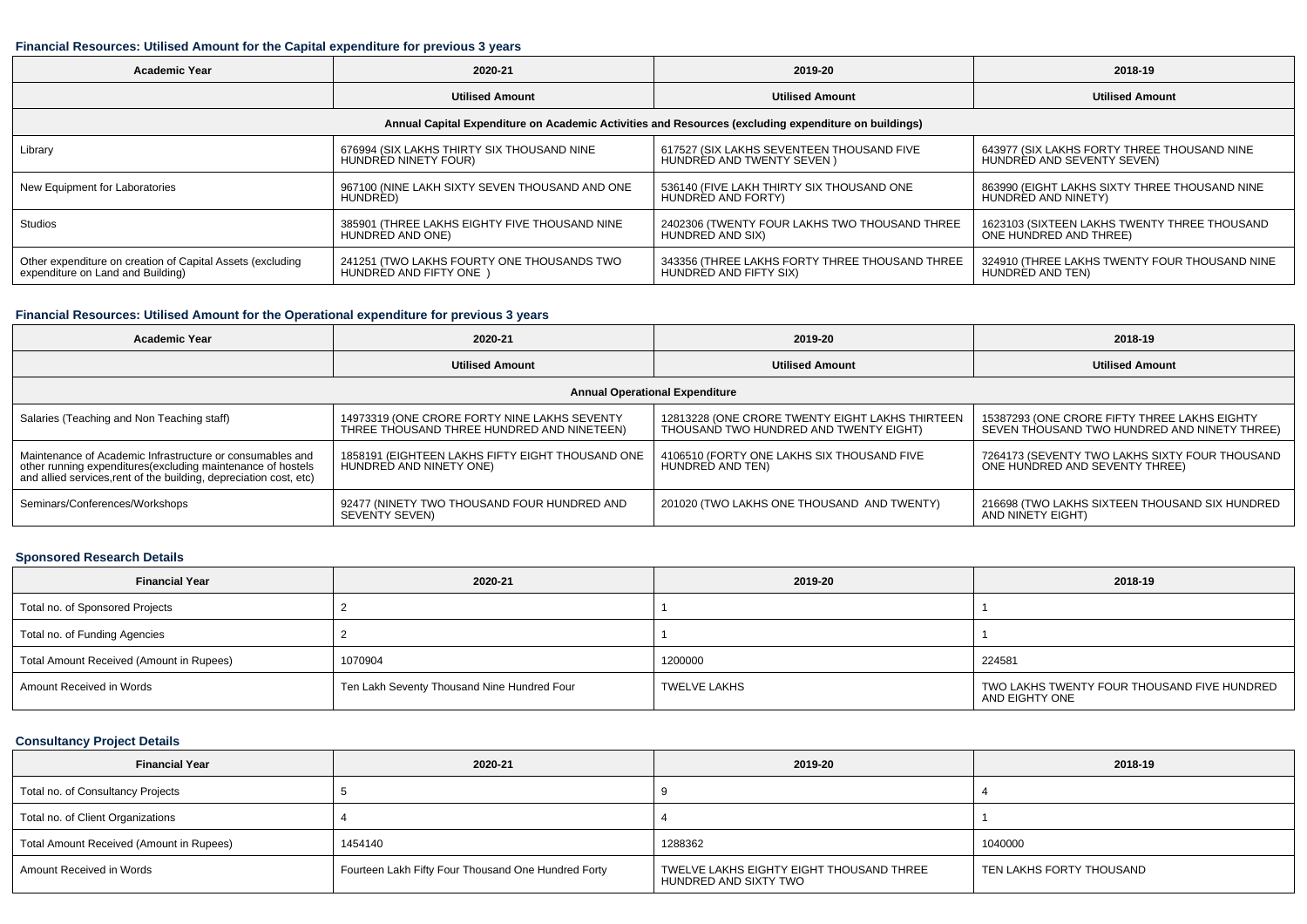#### **Financial Resources: Utilised Amount for the Capital expenditure for previous 3 years**

| <b>Academic Year</b>                                       | 2020-21                                        | 2019-20                                                                                              | 2018-19                                       |  |
|------------------------------------------------------------|------------------------------------------------|------------------------------------------------------------------------------------------------------|-----------------------------------------------|--|
|                                                            | <b>Utilised Amount</b>                         | <b>Utilised Amount</b>                                                                               | <b>Utilised Amount</b>                        |  |
|                                                            |                                                | Annual Capital Expenditure on Academic Activities and Resources (excluding expenditure on buildings) |                                               |  |
| Library                                                    | 676994 (SIX LAKHS THIRTY SIX THOUSAND NINE     | 617527 (SIX LAKHS SEVENTEEN THOUSAND FIVE                                                            | 643977 (SIX LAKHS FORTY THREE THOUSAND NINE   |  |
|                                                            | HUNDRED NINETY FOUR)                           | HUNDRED AND TWENTY SEVEN )                                                                           | HUNDRED AND SEVENTY SEVEN)                    |  |
| New Equipment for Laboratories                             | 967100 (NINE LAKH SIXTY SEVEN THOUSAND AND ONE | 536140 (FIVE LAKH THIRTY SIX THOUSAND ONE                                                            | 863990 (EIGHT LAKHS SIXTY THREE THOUSAND NINE |  |
|                                                            | HUNDRED)                                       | HUNDRED AND FORTY)                                                                                   | HUNDRED AND NINETY)                           |  |
| Studios                                                    | 385901 (THREE LAKHS EIGHTY FIVE THOUSAND NINE  | 2402306 (TWENTY FOUR LAKHS TWO THOUSAND THREE                                                        | 1623103 (SIXTEEN LAKHS TWENTY THREE THOUSAND  |  |
|                                                            | HUNDRED AND ONE)                               | HUNDRED AND SIX)                                                                                     | ONE HUNDRED AND THREE)                        |  |
| Other expenditure on creation of Capital Assets (excluding | 241251 (TWO LAKHS FOURTY ONE THOUSANDS TWO     | 343356 (THREE LAKHS FORTY THREE THOUSAND THREE                                                       | 324910 (THREE LAKHS TWENTY FOUR THOUSAND NINE |  |
| expenditure on Land and Building)                          | HUNDRED AND FIFTY ONE )                        | HUNDRED AND FIFTY SIX)                                                                               | HUNDRED AND TEN)                              |  |

#### **Financial Resources: Utilised Amount for the Operational expenditure for previous 3 years**

| Academic Year                                                                                                                                                                                   | 2020-21                                                                                    | 2019-20                                                                                   | 2018-19                                                                                      |  |  |  |  |  |  |
|-------------------------------------------------------------------------------------------------------------------------------------------------------------------------------------------------|--------------------------------------------------------------------------------------------|-------------------------------------------------------------------------------------------|----------------------------------------------------------------------------------------------|--|--|--|--|--|--|
|                                                                                                                                                                                                 | <b>Utilised Amount</b>                                                                     | <b>Utilised Amount</b>                                                                    | <b>Utilised Amount</b>                                                                       |  |  |  |  |  |  |
|                                                                                                                                                                                                 | <b>Annual Operational Expenditure</b>                                                      |                                                                                           |                                                                                              |  |  |  |  |  |  |
| Salaries (Teaching and Non Teaching staff)                                                                                                                                                      | 14973319 (ONE CRORE FORTY NINE LAKHS SEVENTY<br>THREE THOUSAND THREE HUNDRED AND NINETEEN) | 12813228 (ONE CRORE TWENTY EIGHT LAKHS THIRTEEN<br>THOUSAND TWO HUNDRED AND TWENTY EIGHT) | 15387293 (ONE CRORE FIFTY THREE LAKHS EIGHTY<br>SEVEN THOUSAND TWO HUNDRED AND NINETY THREE) |  |  |  |  |  |  |
| Maintenance of Academic Infrastructure or consumables and<br>other running expenditures (excluding maintenance of hostels<br>and allied services, rent of the building, depreciation cost, etc) | 1858191 (EIGHTEEN LAKHS FIFTY EIGHT THOUSAND ONE<br>HUNDRED AND NINETY ONE)                | 4106510 (FORTY ONE LAKHS SIX THOUSAND FIVE<br>HUNDRED AND TEN)                            | 7264173 (SEVENTY TWO LAKHS SIXTY FOUR THOUSAND<br>ONE HUNDRED AND SEVENTY THREE)             |  |  |  |  |  |  |
| Seminars/Conferences/Workshops                                                                                                                                                                  | 92477 (NINETY TWO THOUSAND FOUR HUNDRED AND<br>SEVENTY SEVEN)                              | 201020 (TWO LAKHS ONE THOUSAND AND TWENTY)                                                | 216698 (TWO LAKHS SIXTEEN THOUSAND SIX HUNDRED<br>AND NINETY EIGHT)                          |  |  |  |  |  |  |

#### **Sponsored Research Details**

| <b>Financial Year</b>                    | 2020-21                                     | 2019-20             | 2018-19                                                       |
|------------------------------------------|---------------------------------------------|---------------------|---------------------------------------------------------------|
| Total no. of Sponsored Projects          |                                             |                     |                                                               |
| Total no. of Funding Agencies            |                                             |                     |                                                               |
| Total Amount Received (Amount in Rupees) | 1070904                                     | 1200000             | 224581                                                        |
| Amount Received in Words                 | Ten Lakh Seventy Thousand Nine Hundred Four | <b>TWELVE LAKHS</b> | TWO LAKHS TWENTY FOUR THOUSAND FIVE HUNDRED<br>AND EIGHTY ONE |

## **Consultancy Project Details**

| <b>Financial Year</b>                    | 2020-21                                             | 2019-20                                                           | 2018-19                  |
|------------------------------------------|-----------------------------------------------------|-------------------------------------------------------------------|--------------------------|
| Total no. of Consultancy Projects        |                                                     |                                                                   |                          |
| Total no. of Client Organizations        |                                                     |                                                                   |                          |
| Total Amount Received (Amount in Rupees) | 1454140                                             | 1288362                                                           | 1040000                  |
| Amount Received in Words                 | Fourteen Lakh Fifty Four Thousand One Hundred Forty | TWELVE LAKHS EIGHTY EIGHT THOUSAND THREE<br>HUNDRED AND SIXTY TWO | TEN LAKHS FORTY THOUSAND |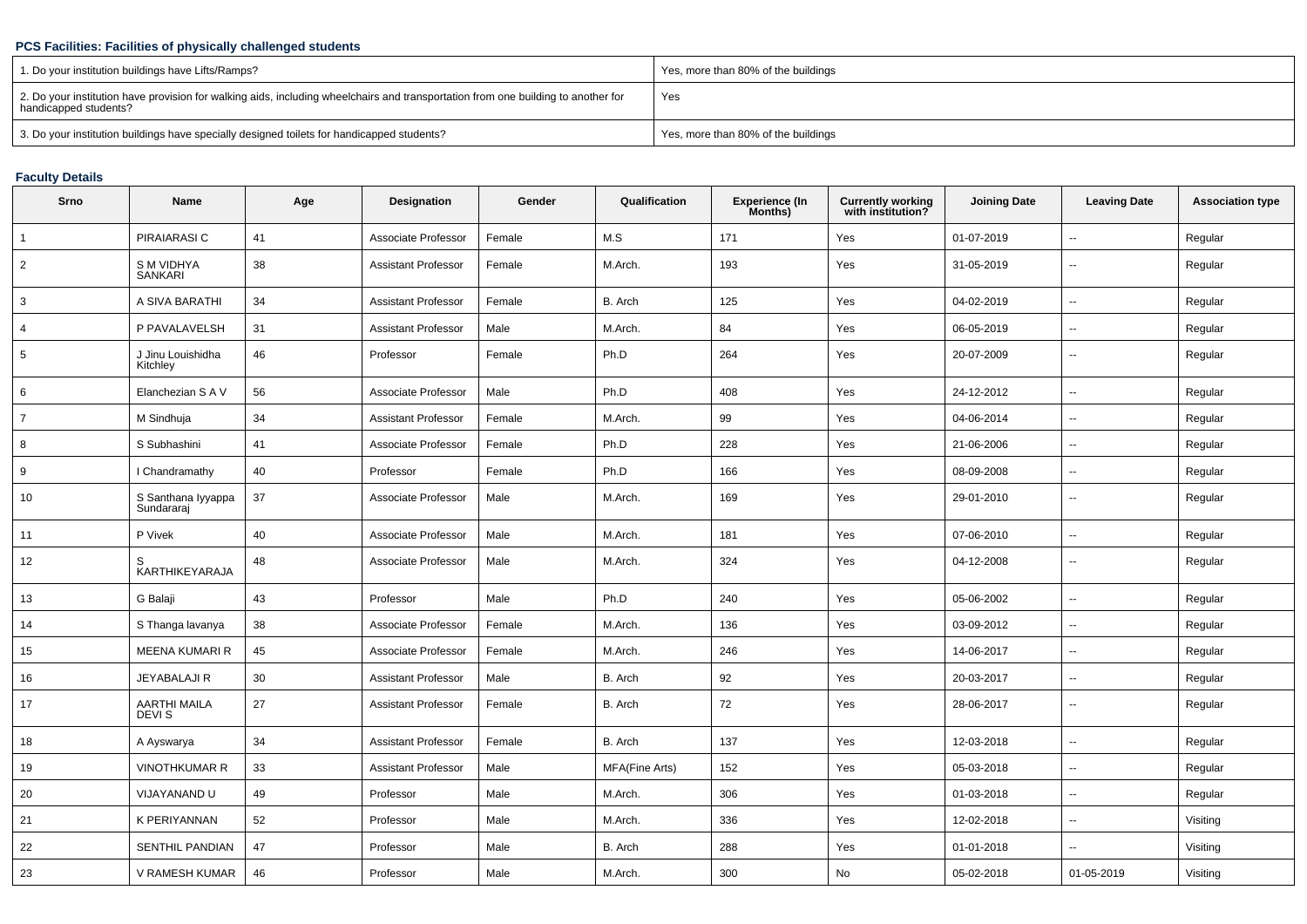## **PCS Facilities: Facilities of physically challenged students**

| 1. Do your institution buildings have Lifts/Ramps?                                                                                                         | Yes, more than 80% of the buildings |
|------------------------------------------------------------------------------------------------------------------------------------------------------------|-------------------------------------|
| 2. Do your institution have provision for walking aids, including wheelchairs and transportation from one building to another for<br>handicapped students? | Yes                                 |
| 3. Do your institution buildings have specially designed toilets for handicapped students?                                                                 | Yes, more than 80% of the buildings |

## **Faculty Details**

| Srno           | <b>Name</b>                        | Age | Designation                | Gender | Qualification  | <b>Experience (In</b><br>Months) | <b>Currently working</b><br>with institution? | <b>Joining Date</b> | <b>Leaving Date</b>      | <b>Association type</b> |
|----------------|------------------------------------|-----|----------------------------|--------|----------------|----------------------------------|-----------------------------------------------|---------------------|--------------------------|-------------------------|
| $\mathbf{1}$   | PIRAIARASI C                       | 41  | Associate Professor        | Female | M.S            | 171                              | Yes                                           | 01-07-2019          | $\overline{\phantom{a}}$ | Regular                 |
| $\overline{2}$ | <b>SM VIDHYA</b><br><b>SANKARI</b> | 38  | <b>Assistant Professor</b> | Female | M.Arch.        | 193                              | Yes                                           | 31-05-2019          | $\overline{a}$           | Regular                 |
| 3              | A SIVA BARATHI                     | 34  | <b>Assistant Professor</b> | Female | B. Arch        | 125                              | Yes                                           | 04-02-2019          | $\overline{\phantom{a}}$ | Regular                 |
| $\overline{4}$ | P PAVALAVELSH                      | 31  | <b>Assistant Professor</b> | Male   | M.Arch.        | 84                               | Yes                                           | 06-05-2019          | $\overline{\phantom{a}}$ | Regular                 |
| 5              | J Jinu Louishidha<br>Kitchley      | 46  | Professor                  | Female | Ph.D           | 264                              | Yes                                           | 20-07-2009          | $\sim$                   | Regular                 |
| 6              | Elanchezian S A V                  | 56  | Associate Professor        | Male   | Ph.D           | 408                              | Yes                                           | 24-12-2012          | $\sim$                   | Regular                 |
| $\overline{7}$ | M Sindhuja                         | 34  | Assistant Professor        | Female | M.Arch.        | 99                               | Yes                                           | 04-06-2014          | $\sim$                   | Regular                 |
| 8              | S Subhashini                       | 41  | Associate Professor        | Female | Ph.D           | 228                              | Yes                                           | 21-06-2006          | $\sim$                   | Regular                 |
| 9              | I Chandramathy                     | 40  | Professor                  | Female | Ph.D           | 166                              | Yes                                           | 08-09-2008          | $\sim$                   | Regular                 |
| 10             | S Santhana Iyyappa<br>Sundararaj   | 37  | Associate Professor        | Male   | M.Arch.        | 169                              | Yes                                           | 29-01-2010          | $\overline{\phantom{a}}$ | Regular                 |
| 11             | P Vivek                            | 40  | Associate Professor        | Male   | M.Arch         | 181                              | Yes                                           | 07-06-2010          | $\overline{\phantom{a}}$ | Regular                 |
| 12             | <b>KARTHIKEYARAJA</b>              | 48  | Associate Professor        | Male   | M.Arch.        | 324                              | Yes                                           | 04-12-2008          | $\overline{\phantom{a}}$ | Regular                 |
| 13             | G Balaji                           | 43  | Professor                  | Male   | Ph.D           | 240                              | Yes                                           | 05-06-2002          | $\overline{\phantom{a}}$ | Regular                 |
| 14             | S Thanga lavanya                   | 38  | Associate Professor        | Female | M.Arch.        | 136                              | Yes                                           | 03-09-2012          | $\overline{\phantom{a}}$ | Regular                 |
| 15             | <b>MEENA KUMARI R</b>              | 45  | Associate Professor        | Female | M.Arch.        | 246                              | Yes                                           | 14-06-2017          | $\overline{\phantom{a}}$ | Regular                 |
| 16             | <b>JEYABALAJI R</b>                | 30  | <b>Assistant Professor</b> | Male   | B. Arch        | 92                               | Yes                                           | 20-03-2017          | $\sim$                   | Regular                 |
| 17             | <b>AARTHI MAILA</b><br>DEVI S      | 27  | <b>Assistant Professor</b> | Female | B. Arch        | 72                               | Yes                                           | 28-06-2017          | $\overline{\phantom{a}}$ | Regular                 |
| 18             | A Ayswarya                         | 34  | <b>Assistant Professor</b> | Female | B. Arch        | 137                              | Yes                                           | 12-03-2018          | $\overline{\phantom{a}}$ | Regular                 |
| 19             | <b>VINOTHKUMAR R</b>               | 33  | <b>Assistant Professor</b> | Male   | MFA(Fine Arts) | 152                              | Yes                                           | 05-03-2018          | $\overline{\phantom{a}}$ | Regular                 |
| 20             | VIJAYANAND U                       | 49  | Professor                  | Male   | M.Arch.        | 306                              | Yes                                           | 01-03-2018          | $\overline{\phantom{a}}$ | Regular                 |
| 21             | K PERIYANNAN                       | 52  | Professor                  | Male   | M.Arch.        | 336                              | Yes                                           | 12-02-2018          | $\overline{\phantom{a}}$ | Visiting                |
| 22             | SENTHIL PANDIAN                    | 47  | Professor                  | Male   | B. Arch        | 288                              | Yes                                           | 01-01-2018          | $\sim$                   | Visiting                |
| 23             | V RAMESH KUMAR                     | 46  | Professor                  | Male   | M.Arch.        | 300                              | No                                            | 05-02-2018          | 01-05-2019               | Visiting                |